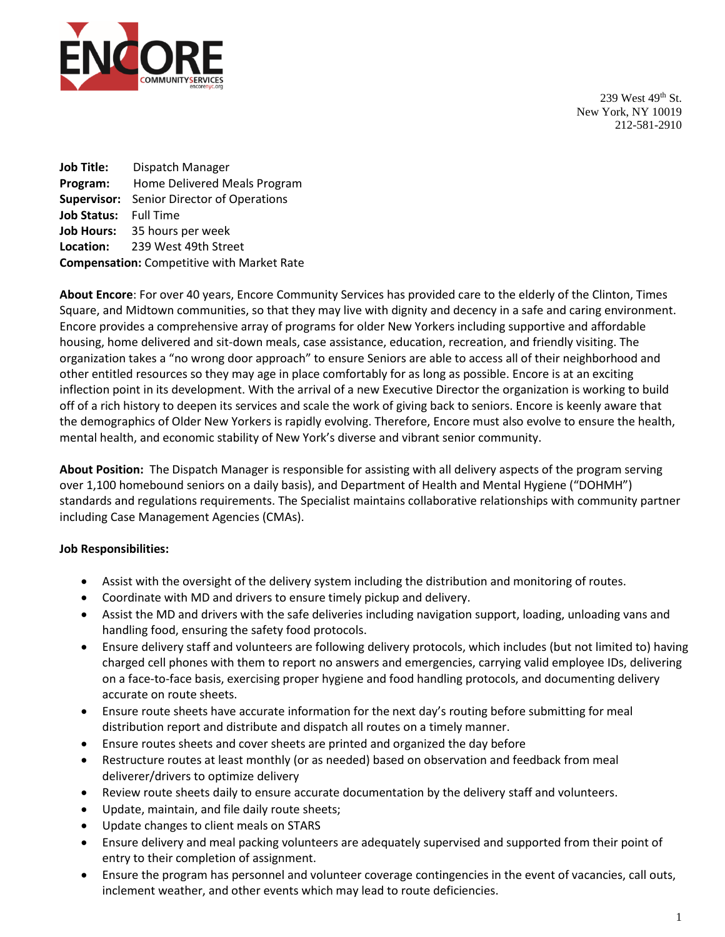

239 West 49th St. New York, NY 10019 212-581-2910

**Job Title:** Dispatch Manager **Program:** Home Delivered Meals Program **Supervisor:** Senior Director of Operations **Job Status:** Full Time **Job Hours:** 35 hours per week **Location:** 239 West 49th Street **Compensation:** Competitive with Market Rate

**About Encore**: For over 40 years, Encore Community Services has provided care to the elderly of the Clinton, Times Square, and Midtown communities, so that they may live with dignity and decency in a safe and caring environment. Encore provides a comprehensive array of programs for older New Yorkers including supportive and affordable housing, home delivered and sit-down meals, case assistance, education, recreation, and friendly visiting. The organization takes a "no wrong door approach" to ensure Seniors are able to access all of their neighborhood and other entitled resources so they may age in place comfortably for as long as possible. Encore is at an exciting inflection point in its development. With the arrival of a new Executive Director the organization is working to build off of a rich history to deepen its services and scale the work of giving back to seniors. Encore is keenly aware that the demographics of Older New Yorkers is rapidly evolving. Therefore, Encore must also evolve to ensure the health, mental health, and economic stability of New York's diverse and vibrant senior community.

**About Position:** The Dispatch Manager is responsible for assisting with all delivery aspects of the program serving over 1,100 homebound seniors on a daily basis), and Department of Health and Mental Hygiene ("DOHMH") standards and regulations requirements. The Specialist maintains collaborative relationships with community partner including Case Management Agencies (CMAs).

## **Job Responsibilities:**

- Assist with the oversight of the delivery system including the distribution and monitoring of routes.
- Coordinate with MD and drivers to ensure timely pickup and delivery.
- Assist the MD and drivers with the safe deliveries including navigation support, loading, unloading vans and handling food, ensuring the safety food protocols.
- Ensure delivery staff and volunteers are following delivery protocols, which includes (but not limited to) having charged cell phones with them to report no answers and emergencies, carrying valid employee IDs, delivering on a face-to-face basis, exercising proper hygiene and food handling protocols, and documenting delivery accurate on route sheets.
- Ensure route sheets have accurate information for the next day's routing before submitting for meal distribution report and distribute and dispatch all routes on a timely manner.
- Ensure routes sheets and cover sheets are printed and organized the day before
- Restructure routes at least monthly (or as needed) based on observation and feedback from meal deliverer/drivers to optimize delivery
- Review route sheets daily to ensure accurate documentation by the delivery staff and volunteers.
- Update, maintain, and file daily route sheets;
- Update changes to client meals on STARS
- Ensure delivery and meal packing volunteers are adequately supervised and supported from their point of entry to their completion of assignment.
- Ensure the program has personnel and volunteer coverage contingencies in the event of vacancies, call outs, inclement weather, and other events which may lead to route deficiencies.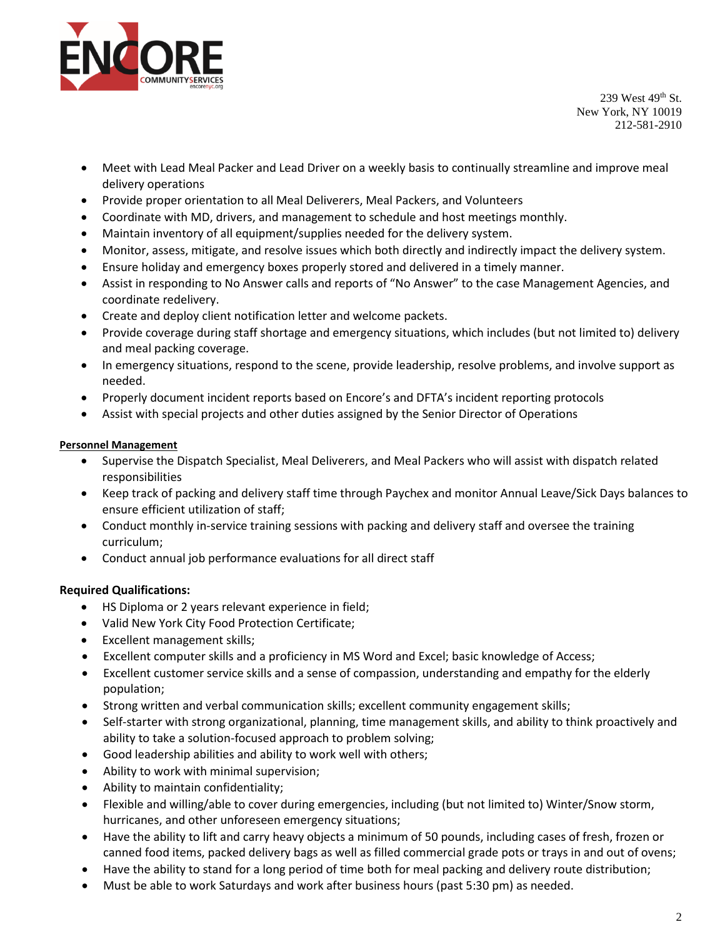

239 West 49th St. New York, NY 10019 212-581-2910

- Meet with Lead Meal Packer and Lead Driver on a weekly basis to continually streamline and improve meal delivery operations
- Provide proper orientation to all Meal Deliverers, Meal Packers, and Volunteers
- Coordinate with MD, drivers, and management to schedule and host meetings monthly.
- Maintain inventory of all equipment/supplies needed for the delivery system.
- Monitor, assess, mitigate, and resolve issues which both directly and indirectly impact the delivery system.
- Ensure holiday and emergency boxes properly stored and delivered in a timely manner.
- Assist in responding to No Answer calls and reports of "No Answer" to the case Management Agencies, and coordinate redelivery.
- Create and deploy client notification letter and welcome packets.
- Provide coverage during staff shortage and emergency situations, which includes (but not limited to) delivery and meal packing coverage.
- In emergency situations, respond to the scene, provide leadership, resolve problems, and involve support as needed.
- Properly document incident reports based on Encore's and DFTA's incident reporting protocols
- Assist with special projects and other duties assigned by the Senior Director of Operations

## **Personnel Management**

- Supervise the Dispatch Specialist, Meal Deliverers, and Meal Packers who will assist with dispatch related responsibilities
- Keep track of packing and delivery staff time through Paychex and monitor Annual Leave/Sick Days balances to ensure efficient utilization of staff;
- Conduct monthly in-service training sessions with packing and delivery staff and oversee the training curriculum;
- Conduct annual job performance evaluations for all direct staff

## **Required Qualifications:**

- HS Diploma or 2 years relevant experience in field;
- Valid New York City Food Protection Certificate;
- Excellent management skills;
- Excellent computer skills and a proficiency in MS Word and Excel; basic knowledge of Access;
- Excellent customer service skills and a sense of compassion, understanding and empathy for the elderly population;
- Strong written and verbal communication skills; excellent community engagement skills;
- Self-starter with strong organizational, planning, time management skills, and ability to think proactively and ability to take a solution-focused approach to problem solving;
- Good leadership abilities and ability to work well with others;
- Ability to work with minimal supervision;
- Ability to maintain confidentiality;
- Flexible and willing/able to cover during emergencies, including (but not limited to) Winter/Snow storm, hurricanes, and other unforeseen emergency situations;
- Have the ability to lift and carry heavy objects a minimum of 50 pounds, including cases of fresh, frozen or canned food items, packed delivery bags as well as filled commercial grade pots or trays in and out of ovens;
- Have the ability to stand for a long period of time both for meal packing and delivery route distribution;
- Must be able to work Saturdays and work after business hours (past 5:30 pm) as needed.